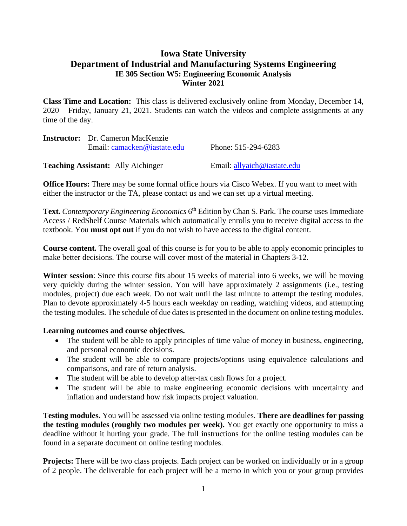## **Iowa State University Department of Industrial and Manufacturing Systems Engineering IE 305 Section W5: Engineering Economic Analysis Winter 2021**

**Class Time and Location:** This class is delivered exclusively online from Monday, December 14, 2020 – Friday, January 21, 2021. Students can watch the videos and complete assignments at any time of the day.

| <b>Instructor:</b> Dr. Cameron MacKenzie  |                             |  |
|-------------------------------------------|-----------------------------|--|
| Email: camacken@iastate.edu               | Phone: 515-294-6283         |  |
| <b>Teaching Assistant:</b> Ally Aichinger | Email: allyaich@iastate.edu |  |

**Office Hours:** There may be some formal office hours via Cisco Webex. If you want to meet with either the instructor or the TA, please contact us and we can set up a virtual meeting.

Text. Contemporary Engineering Economics 6<sup>th</sup> Edition by Chan S. Park. The course uses Immediate Access / RedShelf Course Materials which automatically enrolls you to receive digital access to the textbook. You **must opt out** if you do not wish to have access to the digital content.

**Course content.** The overall goal of this course is for you to be able to apply economic principles to make better decisions. The course will cover most of the material in Chapters 3-12.

**Winter session**: Since this course fits about 15 weeks of material into 6 weeks, we will be moving very quickly during the winter session. You will have approximately 2 assignments (i.e., testing modules, project) due each week. Do not wait until the last minute to attempt the testing modules. Plan to devote approximately 4-5 hours each weekday on reading, watching videos, and attempting the testing modules. The schedule of due dates is presented in the document on online testing modules.

## **Learning outcomes and course objectives.**

- The student will be able to apply principles of time value of money in business, engineering, and personal economic decisions.
- The student will be able to compare projects/options using equivalence calculations and comparisons, and rate of return analysis.
- The student will be able to develop after-tax cash flows for a project.
- The student will be able to make engineering economic decisions with uncertainty and inflation and understand how risk impacts project valuation.

**Testing modules.** You will be assessed via online testing modules. **There are deadlines for passing the testing modules (roughly two modules per week).** You get exactly one opportunity to miss a deadline without it hurting your grade. The full instructions for the online testing modules can be found in a separate document on online testing modules.

**Projects:** There will be two class projects. Each project can be worked on individually or in a group of 2 people. The deliverable for each project will be a memo in which you or your group provides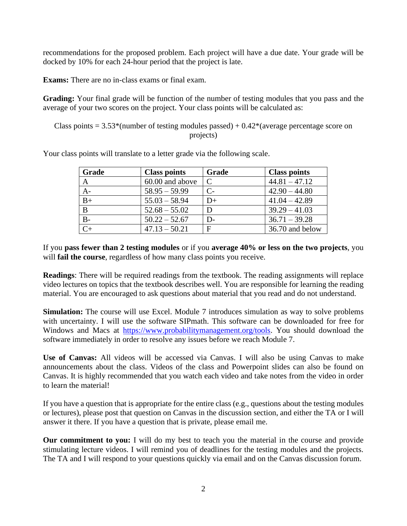recommendations for the proposed problem. Each project will have a due date. Your grade will be docked by 10% for each 24-hour period that the project is late.

**Exams:** There are no in-class exams or final exam.

**Grading:** Your final grade will be function of the number of testing modules that you pass and the average of your two scores on the project. Your class points will be calculated as:

Class points  $= 3.53*(number of testing modules passed) + 0.42*(average percentage score on$ projects)

| Grade | <b>Class points</b> | Grade       | <b>Class points</b> |
|-------|---------------------|-------------|---------------------|
| A     | 60.00 and above     |             | $44.81 - 47.12$     |
| A-    | $58.95 - 59.99$     | $C_{\Xi}$   | $42.90 - 44.80$     |
| $B+$  | $55.03 - 58.94$     | $D+$        | $41.04 - 42.89$     |
| B     | $52.68 - 55.02$     |             | $39.29 - 41.03$     |
| $B -$ | $50.22 - 52.67$     | D-          | $36.71 - 39.28$     |
|       | $47.13 - 50.21$     | $\mathbf F$ | 36.70 and below     |

Your class points will translate to a letter grade via the following scale.

If you **pass fewer than 2 testing modules** or if you **average 40% or less on the two projects**, you will **fail the course**, regardless of how many class points you receive.

**Readings**: There will be required readings from the textbook. The reading assignments will replace video lectures on topics that the textbook describes well. You are responsible for learning the reading material. You are encouraged to ask questions about material that you read and do not understand.

**Simulation:** The course will use Excel. Module 7 introduces simulation as way to solve problems with uncertainty. I will use the software SIPmath. This software can be downloaded for free for Windows and Macs at [https://www.probabilitymanagement.org/tools.](https://www.probabilitymanagement.org/tools) You should download the software immediately in order to resolve any issues before we reach Module 7.

**Use of Canvas:** All videos will be accessed via Canvas. I will also be using Canvas to make announcements about the class. Videos of the class and Powerpoint slides can also be found on Canvas. It is highly recommended that you watch each video and take notes from the video in order to learn the material!

If you have a question that is appropriate for the entire class (e.g., questions about the testing modules or lectures), please post that question on Canvas in the discussion section, and either the TA or I will answer it there. If you have a question that is private, please email me.

**Our commitment to you:** I will do my best to teach you the material in the course and provide stimulating lecture videos. I will remind you of deadlines for the testing modules and the projects. The TA and I will respond to your questions quickly via email and on the Canvas discussion forum.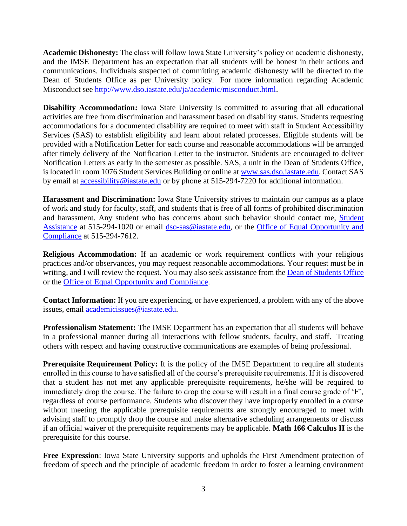**Academic Dishonesty:** The class will follow Iowa State University's policy on academic dishonesty, and the IMSE Department has an expectation that all students will be honest in their actions and communications. Individuals suspected of committing academic dishonesty will be directed to the Dean of Students Office as per University policy. For more information regarding Academic Misconduct see [http://www.dso.iastate.edu/ja/academic/misconduct.html.](http://www.dso.iastate.edu/ja/academic/misconduct.html)

**Disability Accommodation:** Iowa State University is committed to assuring that all educational activities are free from discrimination and harassment based on disability status. Students requesting accommodations for a documented disability are required to meet with staff in Student Accessibility Services (SAS) to establish eligibility and learn about related processes. Eligible students will be provided with a Notification Letter for each course and reasonable accommodations will be arranged after timely delivery of the Notification Letter to the instructor. Students are encouraged to deliver Notification Letters as early in the semester as possible. SAS, a unit in the Dean of Students Office, is located in room 1076 Student Services Building or online at [www.sas.dso.iastate.edu.](http://www.sas.dso.iastate.edu/) Contact SAS by email at [accessibility@iastate.edu](mailto:accessibility@iastate.edu) or by phone at 515-294-7220 for additional information.

**Harassment and Discrimination:** Iowa State University strives to maintain our campus as a place of work and study for faculty, staff, and students that is free of all forms of prohibited discrimination and harassment. Any student who has concerns about such behavior should contact me, [Student](http://new.dso.iastate.edu/sa/)  [Assistance](http://new.dso.iastate.edu/sa/) at 515-294-1020 or email [dso-sas@iastate.edu,](mailto:dso-sas%40iastate.edu) or the Office of Equal Opportunity and [Compliance](http://www.hrs.iastate.edu/hrs/node/99) at 515-294-7612.

**Religious Accommodation:** If an academic or work requirement conflicts with your religious practices and/or observances, you may request reasonable accommodations. Your request must be in writing, and I will review the request. You may also seek assistance from the [Dean of Students Office](http://new.dso.iastate.edu/) or the [Office of Equal Opportunity and Compliance.](http://www.hrs.iastate.edu/hrs/node/269)

**Contact Information:** If you are experiencing, or have experienced, a problem with any of the above issues, email [academicissues@iastate.edu.](mailto:academicissues@iastate.edu)

**Professionalism Statement:** The IMSE Department has an expectation that all students will behave in a professional manner during all interactions with fellow students, faculty, and staff. Treating others with respect and having constructive communications are examples of being professional.

**Prerequisite Requirement Policy:** It is the policy of the IMSE Department to require all students enrolled in this course to have satisfied all of the course's prerequisite requirements. If it is discovered that a student has not met any applicable prerequisite requirements, he/she will be required to immediately drop the course. The failure to drop the course will result in a final course grade of 'F', regardless of course performance. Students who discover they have improperly enrolled in a course without meeting the applicable prerequisite requirements are strongly encouraged to meet with advising staff to promptly drop the course and make alternative scheduling arrangements or discuss if an official waiver of the prerequisite requirements may be applicable. **Math 166 Calculus II** is the prerequisite for this course.

**Free Expression**: Iowa State University supports and upholds the First Amendment protection of freedom of speech and the principle of academic freedom in order to foster a learning environment